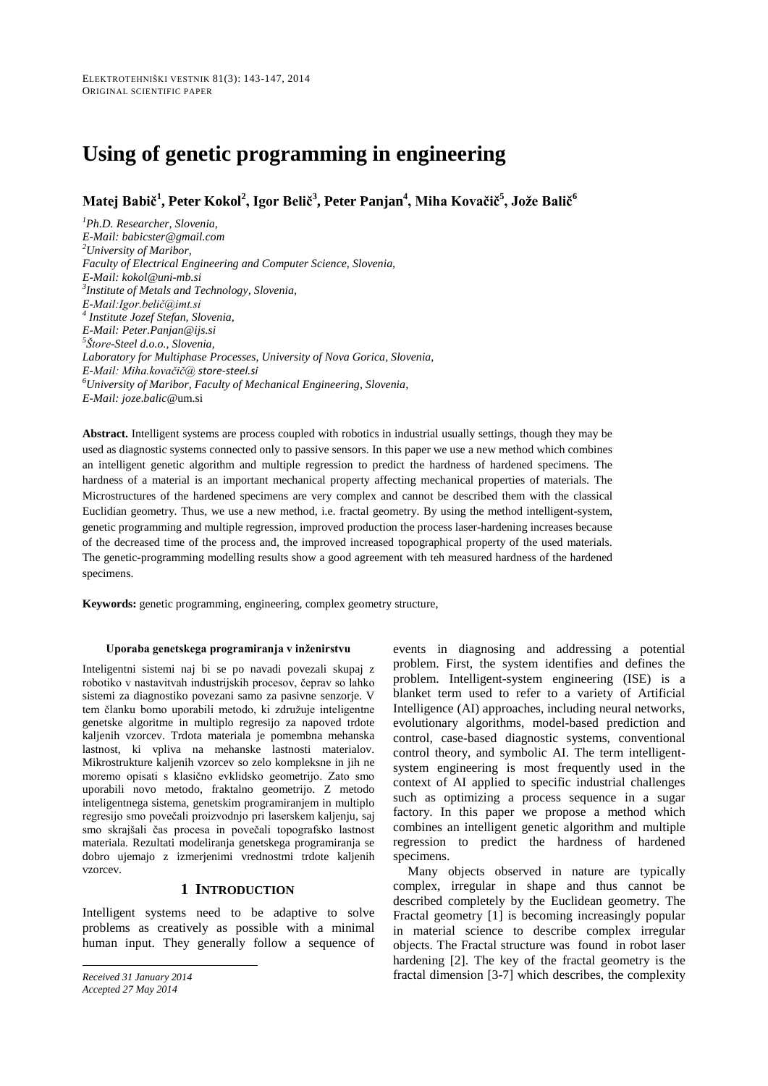# **Using of genetic programming in engineering**

**Matej Babič<sup>1</sup> , Peter Kokol<sup>2</sup> , Igor Belič<sup>3</sup> , Peter Panjan<sup>4</sup> , Miha Kovačič<sup>5</sup> , Jože Balič<sup>6</sup>**

*<sup>1</sup>Ph.D. Researcher, Slovenia, E-Mail: babicster@gmail.com <sup>2</sup>University of Maribor, Faculty of Electrical Engineering and Computer Science, Slovenia, E-Mail: kokol@uni-mb.si 3 Institute of Metals and Technology, Slovenia, E-Mail:Igor.belič@imt.si 4 Institute Jozef Stefan, Slovenia, E-Mail: Peter.Panjan@ijs.si 5 Štore-Steel d.o.o., Slovenia, Laboratory for Multiphase Processes, University of Nova Gorica, Slovenia, E-Mail: Miha.kovačič@ store-steel.si <sup>6</sup>University of Maribor, Faculty of Mechanical Engineering, Slovenia, E-Mail: joze*.*balic*@um.si

**Abstract.** Intelligent systems are process coupled with robotics in industrial usually settings, though they may be used as diagnostic systems connected only to passive sensors. In this paper we use a new method which combines an intelligent genetic algorithm and multiple regression to predict the hardness of hardened specimens. The hardness of a material is an important mechanical property affecting mechanical properties of materials. The Microstructures of the hardened specimens are very complex and cannot be described them with the classical Euclidian geometry. Thus, we use a new method, i.e. fractal geometry. By using the method intelligent-system, genetic programming and multiple regression, improved production the process laser-hardening increases because of the decreased time of the process and, the improved increased topographical property of the used materials. The genetic-programming modelling results show a good agreement with teh measured hardness of the hardened specimens.

**Keywords:** genetic programming, engineering, complex geometry structure,

#### **Uporaba genetskega programiranja v inženirstvu**

Inteligentni sistemi naj bi se po navadi povezali skupaj z robotiko v nastavitvah industrijskih procesov, čeprav so lahko sistemi za diagnostiko povezani samo za pasivne senzorje. V tem članku bomo uporabili metodo, ki združuje inteligentne genetske algoritme in multiplo regresijo za napoved trdote kaljenih vzorcev. Trdota materiala je pomembna mehanska lastnost, ki vpliva na mehanske lastnosti materialov. Mikrostrukture kaljenih vzorcev so zelo kompleksne in jih ne moremo opisati s klasično evklidsko geometrijo. Zato smo uporabili novo metodo, fraktalno geometrijo. Z metodo inteligentnega sistema, genetskim programiranjem in multiplo regresijo smo povečali proizvodnjo pri laserskem kaljenju, saj smo skrajšali čas procesa in povečali topografsko lastnost materiala. Rezultati modeliranja genetskega programiranja se dobro ujemajo z izmerjenimi vrednostmi trdote kaljenih vzorcev.

## **1 INTRODUCTION**

Intelligent systems need to be adaptive to solve problems as creatively as possible with a minimal human input. They generally follow a sequence of

*Accepted 27 May 2014*

events in diagnosing and addressing a potential problem. First, the system identifies and defines the problem. Intelligent-system engineering (ISE) is a blanket term used to refer to a variety of Artificial Intelligence (AI) approaches, including neural networks, evolutionary algorithms, model-based prediction and control, case-based diagnostic systems, conventional control theory, and symbolic AI. The term intelligentsystem engineering is most frequently used in the context of AI applied to specific industrial challenges such as optimizing a process sequence in a sugar factory. In this paper we propose a method which combines an intelligent genetic algorithm and multiple regression to predict the hardness of hardened specimens.

Many objects observed in nature are typically complex, irregular in shape and thus cannot be described completely by the Euclidean geometry. The Fractal geometry [1] is becoming increasingly popular in material science to describe complex irregular objects. The Fractal structure was found in robot laser hardening [2]. The key of the fractal geometry is the *Received 31 January 2014* fractal dimension [3-7] which describes, the complexity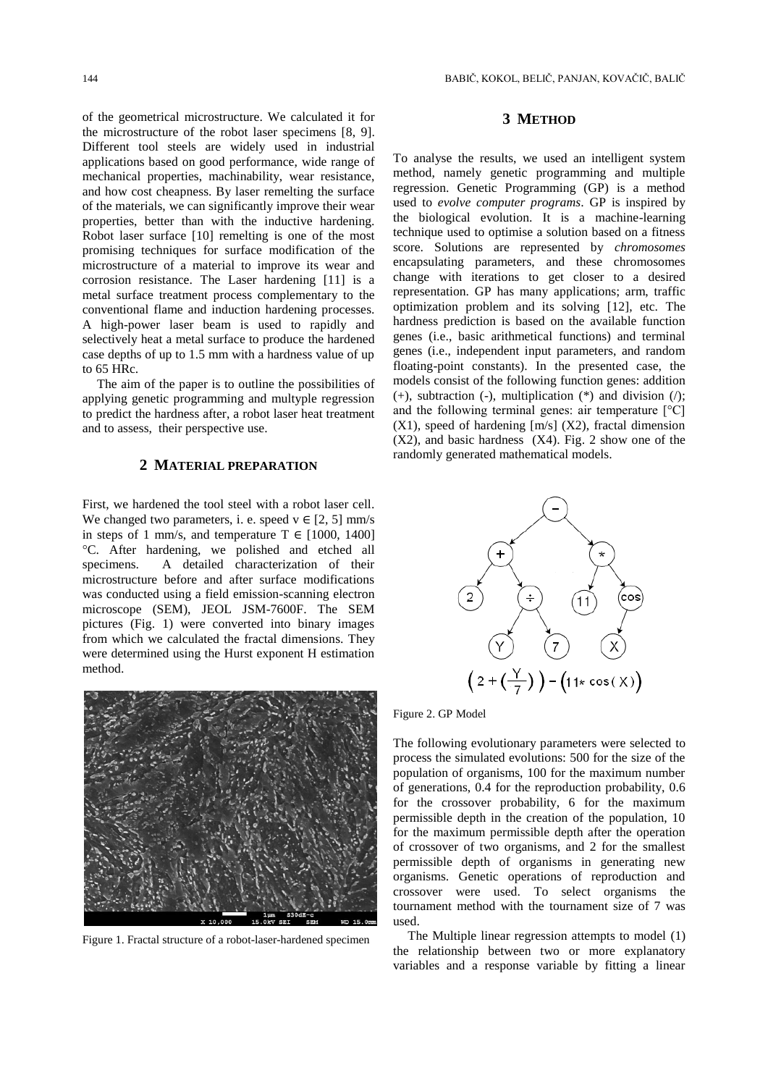of the geometrical microstructure. We calculated it for the microstructure of the robot laser specimens [8, 9]. Different tool steels are widely used in industrial applications based on good performance, wide range of mechanical properties, machinability, wear resistance, and how cost cheapness. By laser remelting the surface of the materials, we can significantly improve their wear properties, better than with the inductive hardening. Robot laser surface [10] remelting is one of the most promising techniques for surface modification of the microstructure of a material to improve its wear and corrosion resistance. The Laser hardening [11] is a metal surface treatment process complementary to the conventional flame and induction hardening processes. A high-power laser beam is used to rapidly and selectively heat a metal surface to produce the hardened case depths of up to 1.5 mm with a hardness value of up to 65 HRc.

The aim of the paper is to outline the possibilities of applying genetic programming and multyple regression to predict the hardness after, a robot laser heat treatment and to assess, their perspective use.

## **2 MATERIAL PREPARATION**

First, we hardened the tool steel with a robot laser cell. We changed two parameters, i. e. speed  $v \in [2, 5]$  mm/s in steps of 1 mm/s, and temperature  $T \in [1000, 1400]$ °C. After hardening, we polished and etched all specimens. A detailed characterization of their microstructure before and after surface modifications was conducted using a field emission-scanning electron microscope (SEM), JEOL JSM-7600F. The SEM pictures (Fig. 1) were converted into binary images from which we calculated the fractal dimensions. They were determined using the Hurst exponent H estimation method.



Figure 1. Fractal structure of a robot-laser-hardened specimen

# **3 METHOD**

To analyse the results, we used an intelligent system method, namely genetic programming and multiple regression. Genetic Programming (GP) is a method used to *evolve computer programs*. GP is inspired by the biological evolution. It is a machine-learning technique used to optimise a solution based on a fitness score. Solutions are represented by *chromosomes* encapsulating parameters, and these chromosomes change with iterations to get closer to a desired representation. GP has many applications; arm, traffic optimization problem and its solving [12], etc. The hardness prediction is based on the available function genes (i.e., basic arithmetical functions) and terminal genes (i.e., independent input parameters, and random floating-point constants). In the presented case, the models consist of the following function genes: addition (+), subtraction (-), multiplication (\*) and division ( $\prime$ ); and the following terminal genes: air temperature  $\lceil {^{\circ}C} \rceil$  $(X1)$ , speed of hardening  $[m/s]$   $(X2)$ , fractal dimension (X2), and basic hardness (X4). Fig. 2 show one of the randomly generated mathematical models.



Figure 2. GP Model

The following evolutionary parameters were selected to process the simulated evolutions: 500 for the size of the population of organisms, 100 for the maximum number of generations, 0.4 for the reproduction probability, 0.6 for the crossover probability, 6 for the maximum permissible depth in the creation of the population, 10 for the maximum permissible depth after the operation of crossover of two organisms, and 2 for the smallest permissible depth of organisms in generating new organisms. Genetic operations of reproduction and crossover were used. To select organisms the tournament method with the tournament size of 7 was used.

The Multiple linear regression attempts to model (1) the relationship between two or more explanatory variables and a response variable by fitting a linear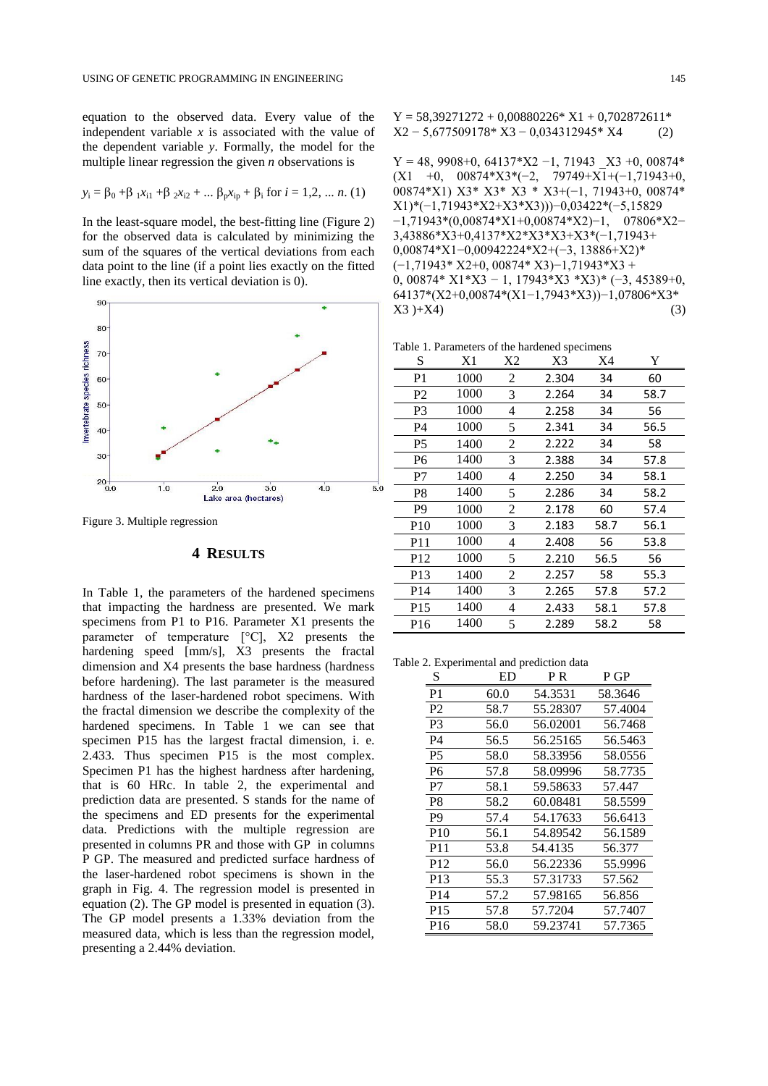equation to the observed data. Every value of the independent variable  $x$  is associated with the value of the dependent variable *y*. Formally, the model for the multiple linear regression the given *n* observations is

$$
y_i = \beta_0 + \beta_1 x_{i1} + \beta_2 x_{i2} + \dots \beta_p x_{ip} + \beta_i
$$
 for  $i = 1, 2, \dots n$ . (1)

In the least-square model, the best-fitting line (Figure 2) for the observed data is calculated by minimizing the sum of the squares of the vertical deviations from each data point to the line (if a point lies exactly on the fitted line exactly, then its vertical deviation is 0).



Figure 3. Multiple regression

## **4 RESULTS**

In Table 1, the parameters of the hardened specimens that impacting the hardness are presented. We mark specimens from P1 to P16. Parameter X1 presents the parameter of temperature [°C], X2 presents the hardening speed [mm/s], X3 presents the fractal dimension and X4 presents the base hardness (hardness before hardening). The last parameter is the measured hardness of the laser-hardened robot specimens. With the fractal dimension we describe the complexity of the hardened specimens. In Table 1 we can see that specimen P15 has the largest fractal dimension, i. e. 2.433. Thus specimen P15 is the most complex. Specimen P1 has the highest hardness after hardening, that is 60 HRc. In table 2, the experimental and prediction data are presented. S stands for the name of the specimens and ED presents for the experimental data. Predictions with the multiple regression are presented in columns PR and those with GP in columns P GP. The measured and predicted surface hardness of the laser-hardened robot specimens is shown in the graph in Fig. 4. The regression model is presented in equation (2). The GP model is presented in equation (3). The GP model presents a 1.33% deviation from the measured data, which is less than the regression model, presenting a 2.44% deviation.

 $Y = 58,39271272 + 0,00880226* X1 + 0,702872611*$ X2 − 5,677509178\* X3 − 0,034312945\* X4 (2)

Y = 48, 9908+0, 64137\*X2 −1, 71943 \_X3 +0, 00874\* (X1 +0, 00874\*X3\*(−2, 79749+X1+(−1,71943+0, 00874\*X1) X3\* X3\* X3 \* X3+(−1, 71943+0, 00874\* X1)\*(−1,71943\*X2+X3\*X3)))−0,03422\*(−5,15829 −1,71943\*(0,00874\*X1+0,00874\*X2)−1, 07806\*X2− 3,43886\*X3+0,4137\*X2\*X3\*X3+X3\*(−1,71943+ 0,00874\*X1−0,00942224\*X2+(−3, 13886+X2)\* (−1,71943\* X2+0, 00874\* X3)−1,71943\*X3 + 0, 00874\* X1\*X3 − 1, 17943\*X3 \*X3)\* (−3, 45389+0, 64137\*(X2+0,00874\*(X1−1,7943\*X3))−1,07806\*X3\*  $X3 + X4$  (3)

Table 1. Parameters of the hardened specimens

| S               | X1   | X2 | X3    | X4   | Y    |
|-----------------|------|----|-------|------|------|
| P1              | 1000 | 2  | 2.304 | 34   | 60   |
| P <sub>2</sub>  | 1000 | 3  | 2.264 | 34   | 58.7 |
| P3              | 1000 | 4  | 2.258 | 34   | 56   |
| P4              | 1000 | 5  | 2.341 | 34   | 56.5 |
| P5              | 1400 | 2  | 2.222 | 34   | 58   |
| P <sub>6</sub>  | 1400 | 3  | 2.388 | 34   | 57.8 |
| P7              | 1400 | 4  | 2.250 | 34   | 58.1 |
| P8              | 1400 | 5  | 2.286 | 34   | 58.2 |
| P9              | 1000 | 2  | 2.178 | 60   | 57.4 |
| <b>P10</b>      | 1000 | 3  | 2.183 | 58.7 | 56.1 |
| P11             | 1000 | 4  | 2.408 | 56   | 53.8 |
| P <sub>12</sub> | 1000 | 5  | 2.210 | 56.5 | 56   |
| P13             | 1400 | 2  | 2.257 | 58   | 55.3 |
| P <sub>14</sub> | 1400 | 3  | 2.265 | 57.8 | 57.2 |
| P <sub>15</sub> | 1400 | 4  | 2.433 | 58.1 | 57.8 |
| P <sub>16</sub> | 1400 | 5  | 2.289 | 58.2 | 58   |

Table 2. Experimental and prediction data

| S               | ED   | P R      | P GP    |
|-----------------|------|----------|---------|
| P <sub>1</sub>  | 60.0 | 54.3531  | 58.3646 |
| P <sub>2</sub>  | 58.7 | 55.28307 | 57.4004 |
| P <sub>3</sub>  | 56.0 | 56.02001 | 56.7468 |
| P4              | 56.5 | 56.25165 | 56.5463 |
| <b>P5</b>       | 58.0 | 58.33956 | 58.0556 |
| P6              | 57.8 | 58.09996 | 58.7735 |
| P7              | 58.1 | 59.58633 | 57.447  |
| P8              | 58.2 | 60.08481 | 58.5599 |
| P <sub>9</sub>  | 57.4 | 54.17633 | 56.6413 |
| <b>P10</b>      | 56.1 | 54.89542 | 56.1589 |
| P <sub>11</sub> | 53.8 | 54.4135  | 56.377  |
| P <sub>12</sub> | 56.0 | 56.22336 | 55.9996 |
| P <sub>13</sub> | 55.3 | 57.31733 | 57.562  |
| P <sub>14</sub> | 57.2 | 57.98165 | 56.856  |
| P <sub>15</sub> | 57.8 | 57.7204  | 57.7407 |
| P <sub>16</sub> | 58.0 | 59.23741 | 57.7365 |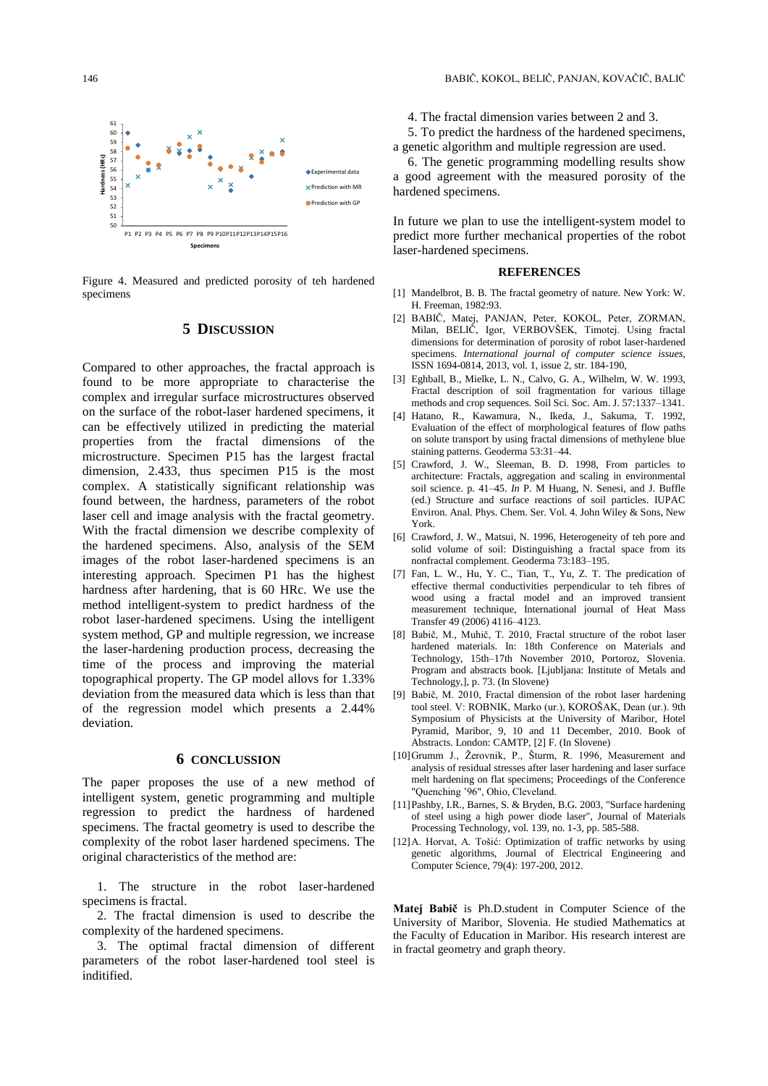

Figure 4. Measured and predicted porosity of teh hardened specimens

### **5 DISCUSSION**

Compared to other approaches, the fractal approach is found to be more appropriate to characterise the complex and irregular surface microstructures observed on the surface of the robot-laser hardened specimens, it can be effectively utilized in predicting the material properties from the fractal dimensions of the microstructure. Specimen P15 has the largest fractal dimension, 2.433, thus specimen P15 is the most complex. A statistically significant relationship was found between, the hardness, parameters of the robot laser cell and image analysis with the fractal geometry. With the fractal dimension we describe complexity of the hardened specimens. Also, analysis of the SEM images of the robot laser-hardened specimens is an interesting approach. Specimen P1 has the highest hardness after hardening, that is 60 HRc. We use the method intelligent-system to predict hardness of the robot laser-hardened specimens. Using the intelligent system method, GP and multiple regression, we increase the laser-hardening production process, decreasing the time of the process and improving the material topographical property. The GP model allovs for 1.33% deviation from the measured data which is less than that of the regression model which presents a 2.44% deviation.

### **6 CONCLUSSION**

The paper proposes the use of a new method of intelligent system, genetic programming and multiple regression to predict the hardness of hardened specimens. The fractal geometry is used to describe the complexity of the robot laser hardened specimens. The original characteristics of the method are:

1. The structure in the robot laser-hardened specimens is fractal.

2. The fractal dimension is used to describe the complexity of the hardened specimens.

3. The optimal fractal dimension of different parameters of the robot laser-hardened tool steel is inditified.

4. The fractal dimension varies between 2 and 3.

5. To predict the hardness of the hardened specimens, a genetic algorithm and multiple regression are used.

6. The genetic programming modelling results show a good agreement with the measured porosity of the hardened specimens.

In future we plan to use the intelligent-system model to predict more further mechanical properties of the robot laser-hardened specimens.

#### **REFERENCES**

- [1] Mandelbrot, B. B. The fractal geometry of nature. New York: W. H. Freeman, 1982:93.
- [2] BABIČ, Matej, PANJAN, Peter, KOKOL, Peter, ZORMAN, Milan, BELIČ, Igor, VERBOVŠEK, Timotej. Using fractal dimensions for determination of porosity of robot laser-hardened specimens. *International journal of computer science issues*, ISSN 1694-0814, 2013, vol. 1, issue 2, str. 184-190,
- [3] Eghball, B., Mielke, L. N., Calvo, G. A., Wilhelm, W. W. 1993, Fractal description of soil fragmentation for various tillage methods and crop sequences. Soil Sci. Soc. Am. J. 57:1337–1341.
- [4] Hatano, R., Kawamura, N., Ikeda, J., Sakuma, T. 1992, Evaluation of the effect of morphological features of flow paths on solute transport by using fractal dimensions of methylene blue staining patterns. Geoderma 53:31–44.
- [5] Crawford, J. W., Sleeman, B. D. 1998, From particles to architecture: Fractals, aggregation and scaling in environmental soil science. p. 41–45. *In* P. M Huang, N. Senesi, and J. Buffle (ed.) Structure and surface reactions of soil particles. IUPAC Environ. Anal. Phys. Chem. Ser. Vol. 4. John Wiley & Sons, New York.
- [6] Crawford, J. W., Matsui, N. 1996, Heterogeneity of teh pore and solid volume of soil: Distinguishing a fractal space from its nonfractal complement. Geoderma 73:183–195.
- [7] Fan, L. W., Hu, Y. C., Tian, T., Yu, Z. T. The predication of effective thermal conductivities perpendicular to teh fibres of wood using a fractal model and an improved transient measurement technique, International journal of Heat Mass Transfer 49 (2006) 4116–4123.
- [8] Babič, M., Muhič, T. 2010, Fractal structure of the robot laser hardened materials. In: 18th Conference on Materials and Technology, 15th–17th November 2010, Portoroz, Slovenia. Program and abstracts book. [Ljubljana: Institute of Metals and Technology,], p. 73. (In Slovene)
- [9] Babič, M. 2010, Fractal dimension of the robot laser hardening tool steel. V: ROBNIK, Marko (ur.), KOROŠAK, Dean (ur.). 9th Symposium of Physicists at the University of Maribor, Hotel Pyramid, Maribor, 9, 10 and 11 December, 2010. Book of Abstracts. London: CAMTP, [2] F. (In Slovene)
- [10]Grumm J., Žerovnik, P., Šturm, R. 1996, Measurement and analysis of residual stresses after laser hardening and laser surface melt hardening on flat specimens; Proceedings of the Conference "Quenching '96", Ohio, Cleveland.
- [11]Pashby, I.R., Barnes, S. & Bryden, B.G. 2003, "Surface hardening of steel using a high power diode laser", Journal of Materials Processing Technology, vol. 139, no. 1-3, pp. 585-588.
- [12]A. Horvat, A. Tošić: [Optimization of traffic networks by using](http://ev.fe.uni-lj.si/4-2012/Horvat.pdf)  [genetic algorithms,](http://ev.fe.uni-lj.si/4-2012/Horvat.pdf) Journal of Electrical Engineering and Computer Science, 79(4): 197-200, 2012.

**Matej Babič** is Ph.D.student in Computer Science of the University of Maribor, Slovenia. He studied Mathematics at the Faculty of Education in Maribor. His research interest are in fractal geometry and graph theory.